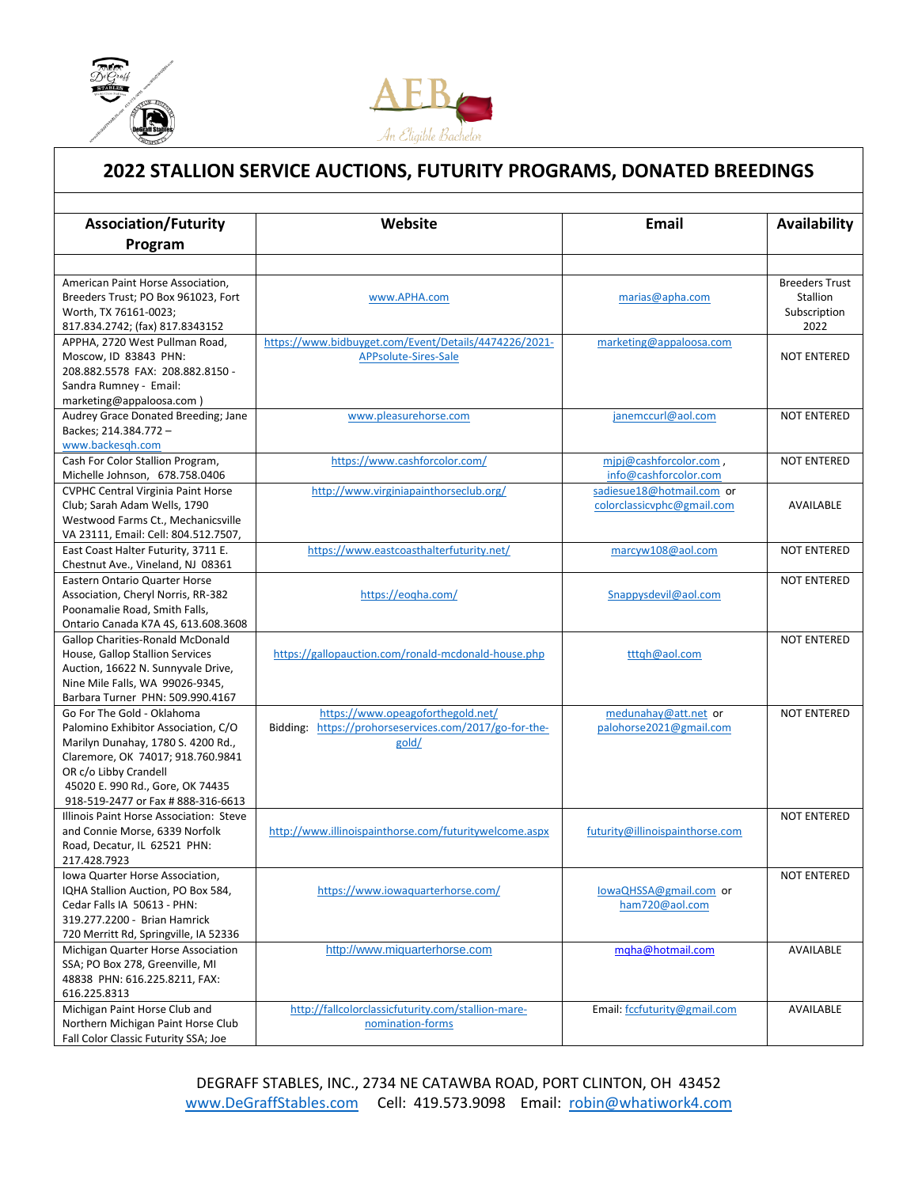

l



## **2022 STALLION SERVICE AUCTIONS, FUTURITY PROGRAMS, DONATED BREEDINGS**

| <b>Association/Futurity</b>                                        | Website                                                | Email                                    | Availability          |
|--------------------------------------------------------------------|--------------------------------------------------------|------------------------------------------|-----------------------|
| Program                                                            |                                                        |                                          |                       |
|                                                                    |                                                        |                                          |                       |
| American Paint Horse Association.                                  |                                                        |                                          | <b>Breeders Trust</b> |
| Breeders Trust; PO Box 961023, Fort                                | www.APHA.com                                           | marias@apha.com                          | Stallion              |
| Worth, TX 76161-0023;                                              |                                                        |                                          | Subscription          |
| 817.834.2742; (fax) 817.8343152                                    |                                                        |                                          | 2022                  |
| APPHA, 2720 West Pullman Road,                                     | https://www.bidbuyget.com/Event/Details/4474226/2021-  | marketing@appaloosa.com                  |                       |
| Moscow, ID 83843 PHN:                                              | APPsolute-Sires-Sale                                   |                                          | <b>NOT ENTERED</b>    |
| 208.882.5578 FAX: 208.882.8150 -                                   |                                                        |                                          |                       |
| Sandra Rumney - Email:                                             |                                                        |                                          |                       |
| marketing@appaloosa.com)                                           |                                                        |                                          |                       |
| Audrey Grace Donated Breeding; Jane                                | www.pleasurehorse.com                                  | janemccurl@aol.com                       | <b>NOT ENTERED</b>    |
| Backes; 214.384.772 -                                              |                                                        |                                          |                       |
| www.backesgh.com                                                   |                                                        |                                          |                       |
| Cash For Color Stallion Program,                                   | https://www.cashforcolor.com/                          | mipj@cashforcolor.com,                   | <b>NOT ENTERED</b>    |
| Michelle Johnson, 678.758.0406                                     |                                                        | info@cashforcolor.com                    |                       |
| <b>CVPHC Central Virginia Paint Horse</b>                          | http://www.virginiapainthorseclub.org/                 | sadiesue18@hotmail.com or                |                       |
| Club; Sarah Adam Wells, 1790                                       |                                                        | colorclassicvphc@gmail.com               | AVAILABLE             |
| Westwood Farms Ct., Mechanicsville                                 |                                                        |                                          |                       |
| VA 23111, Email: Cell: 804.512.7507,                               |                                                        |                                          |                       |
| East Coast Halter Futurity, 3711 E.                                | https://www.eastcoasthalterfuturity.net/               | marcyw108@aol.com                        | <b>NOT ENTERED</b>    |
| Chestnut Ave., Vineland, NJ 08361<br>Eastern Ontario Quarter Horse |                                                        |                                          | <b>NOT ENTERED</b>    |
| Association, Cheryl Norris, RR-382                                 | https://eogha.com/                                     | Snappysdevil@aol.com                     |                       |
| Poonamalie Road, Smith Falls,                                      |                                                        |                                          |                       |
| Ontario Canada K7A 4S, 613.608.3608                                |                                                        |                                          |                       |
| <b>Gallop Charities-Ronald McDonald</b>                            |                                                        |                                          | <b>NOT ENTERED</b>    |
| House, Gallop Stallion Services                                    | https://gallopauction.com/ronald-mcdonald-house.php    | tttqh@aol.com                            |                       |
| Auction, 16622 N. Sunnyvale Drive,                                 |                                                        |                                          |                       |
| Nine Mile Falls, WA 99026-9345,                                    |                                                        |                                          |                       |
| Barbara Turner PHN: 509.990.4167                                   |                                                        |                                          |                       |
| Go For The Gold - Oklahoma                                         | https://www.opeagoforthegold.net/                      | medunahay@att.net or                     | <b>NOT ENTERED</b>    |
| Palomino Exhibitor Association, C/O                                | Bidding: https://prohorseservices.com/2017/go-for-the- | palohorse2021@gmail.com                  |                       |
| Marilyn Dunahay, 1780 S. 4200 Rd.,                                 | gold/                                                  |                                          |                       |
| Claremore, OK 74017; 918.760.9841                                  |                                                        |                                          |                       |
| OR c/o Libby Crandell                                              |                                                        |                                          |                       |
| 45020 E. 990 Rd., Gore, OK 74435                                   |                                                        |                                          |                       |
| 918-519-2477 or Fax # 888-316-6613                                 |                                                        |                                          |                       |
| Illinois Paint Horse Association: Steve                            |                                                        |                                          | <b>NOT ENTERED</b>    |
| and Connie Morse, 6339 Norfolk                                     | http://www.illinoispainthorse.com/futuritywelcome.aspx | futurity@illinoispainthorse.com          |                       |
| Road, Decatur, IL 62521 PHN:                                       |                                                        |                                          |                       |
| 217.428.7923                                                       |                                                        |                                          |                       |
| Iowa Quarter Horse Association,                                    | https://www.iowaguarterhorse.com/                      |                                          | <b>NOT ENTERED</b>    |
| IQHA Stallion Auction, PO Box 584,<br>Cedar Falls IA 50613 - PHN:  |                                                        | lowaQHSSA@gmail.com or<br>ham720@aol.com |                       |
| 319.277.2200 - Brian Hamrick                                       |                                                        |                                          |                       |
| 720 Merritt Rd, Springville, IA 52336                              |                                                        |                                          |                       |
| Michigan Quarter Horse Association                                 | http://www.miquarterhorse.com                          | mgha@hotmail.com                         | AVAILABLE             |
| SSA; PO Box 278, Greenville, MI                                    |                                                        |                                          |                       |
| 48838 PHN: 616.225.8211, FAX:                                      |                                                        |                                          |                       |
| 616.225.8313                                                       |                                                        |                                          |                       |
| Michigan Paint Horse Club and                                      | http://fallcolorclassicfuturity.com/stallion-mare-     | Email: fccfuturity@gmail.com             | AVAILABLE             |
| Northern Michigan Paint Horse Club                                 | nomination-forms                                       |                                          |                       |
| Fall Color Classic Futurity SSA; Joe                               |                                                        |                                          |                       |